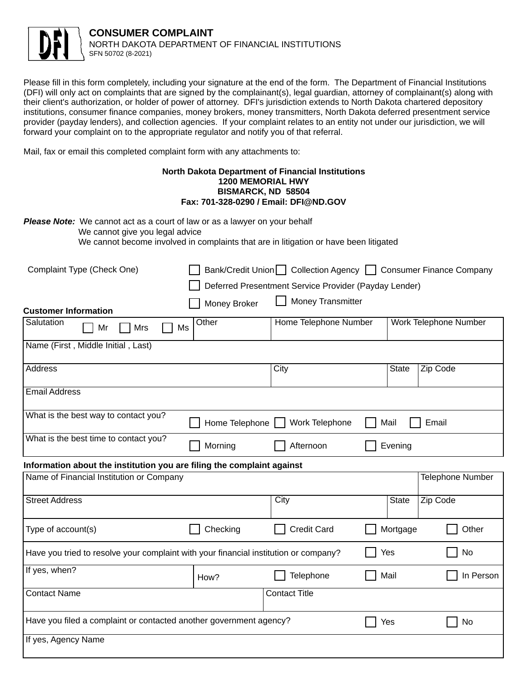

Please fill in this form completely, including your signature at the end of the form. The Department of Financial Institutions (DFI) will only act on complaints that are signed by the complainant(s), legal guardian, attorney of complainant(s) along with their client's authorization, or holder of power of attorney. DFI's jurisdiction extends to North Dakota chartered depository institutions, consumer finance companies, money brokers, money transmitters, North Dakota deferred presentment service provider (payday lenders), and collection agencies. If your complaint relates to an entity not under our jurisdiction, we will forward your complaint on to the appropriate regulator and notify you of that referral.

Mail, fax or email this completed complaint form with any attachments to:

## **North Dakota Department of Financial Institutions 1200 MEMORIAL HWY** BISMARCK, ND 58504 Fax: 701-328-0290 / Email: DFI@ND.GOV

Please Note: We cannot act as a court of law or as a lawyer on your behalf

We cannot give you legal advice

We cannot become involved in complaints that are in litigation or have been litigated

| Complaint Type (Check One)                                                           |                | Bank/Credit Union   Collection Agency   Consumer Finance Company |           |                       |                         |  |  |
|--------------------------------------------------------------------------------------|----------------|------------------------------------------------------------------|-----------|-----------------------|-------------------------|--|--|
|                                                                                      |                | Deferred Presentment Service Provider (Payday Lender)            |           |                       |                         |  |  |
| <b>Customer Information</b>                                                          | Money Broker   | Money Transmitter                                                |           |                       |                         |  |  |
| Salutation<br>Mr<br>Mrs<br>Ms                                                        | Other          | Home Telephone Number                                            |           | Work Telephone Number |                         |  |  |
| Name (First, Middle Initial, Last)                                                   |                |                                                                  |           |                       |                         |  |  |
| Address                                                                              |                | City                                                             |           | <b>State</b>          | Zip Code                |  |  |
| <b>Email Address</b>                                                                 |                |                                                                  |           |                       |                         |  |  |
| What is the best way to contact you?                                                 | Home Telephone | Work Telephone                                                   |           | Mail                  | Email                   |  |  |
| What is the best time to contact you?                                                | Morning        | Afternoon                                                        |           | Evening               |                         |  |  |
| Information about the institution you are filing the complaint against               |                |                                                                  |           |                       |                         |  |  |
| Name of Financial Institution or Company                                             |                |                                                                  |           |                       | <b>Telephone Number</b> |  |  |
| <b>Street Address</b>                                                                |                | City                                                             |           | <b>State</b>          | Zip Code                |  |  |
| Type of account(s)                                                                   | Checking       | <b>Credit Card</b>                                               |           | Mortgage              | Other                   |  |  |
| Have you tried to resolve your complaint with your financial institution or company? |                |                                                                  | No<br>Yes |                       |                         |  |  |
| If yes, when?                                                                        | How?           | Telephone                                                        |           | Mail                  | In Person               |  |  |
| <b>Contact Name</b>                                                                  |                | <b>Contact Title</b>                                             |           |                       |                         |  |  |
| Have you filed a complaint or contacted another government agency?                   |                |                                                                  |           | Yes                   | No                      |  |  |
| If yes, Agency Name                                                                  |                |                                                                  |           |                       |                         |  |  |